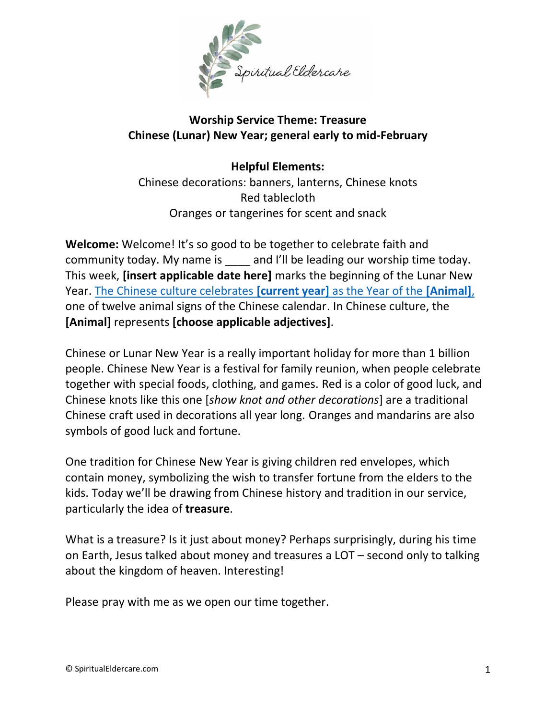

## **Worship Service Theme: Treasure Chinese (Lunar) New Year; general early to mid-February**

**Helpful Elements:** Chinese decorations: banners, lanterns, Chinese knots Red tablecloth Oranges or tangerines for scent and snack

**Welcome:** Welcome! It's so good to be together to celebrate faith and community today. My name is and I'll be leading our worship time today. This week, **[insert applicable date here]** marks the beginning of the Lunar New Year. The [Chinese culture celebrates](https://chinesenewyear.net/) **[current year]** as the Year of the **[Animal]**, one of twelve animal signs of the Chinese calendar. In Chinese culture, the **[Animal]** represents **[choose applicable adjectives]**.

Chinese or Lunar New Year is a really important holiday for more than 1 billion people. Chinese New Year is a festival for family reunion, when people celebrate together with special foods, clothing, and games. Red is a color of good luck, and Chinese knots like this one [*show knot and other decorations*] are a traditional Chinese craft used in decorations all year long. Oranges and mandarins are also symbols of good luck and fortune.

One tradition for Chinese New Year is giving children red envelopes, which contain money, symbolizing the wish to transfer fortune from the elders to the kids. Today we'll be drawing from Chinese history and tradition in our service, particularly the idea of **treasure**.

What is a treasure? Is it just about money? Perhaps surprisingly, during his time on Earth, Jesus talked about money and treasures a LOT – second only to talking about the kingdom of heaven. Interesting!

Please pray with me as we open our time together.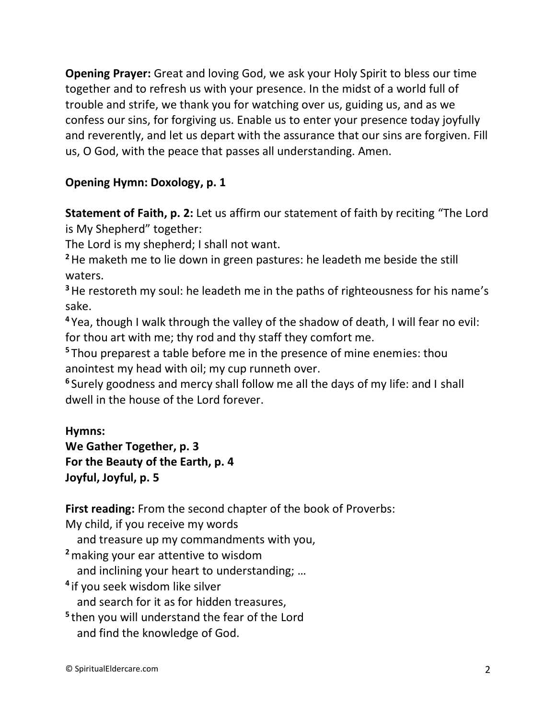**Opening Prayer:** Great and loving God, we ask your Holy Spirit to bless our time together and to refresh us with your presence. In the midst of a world full of trouble and strife, we thank you for watching over us, guiding us, and as we confess our sins, for forgiving us. Enable us to enter your presence today joyfully and reverently, and let us depart with the assurance that our sins are forgiven. Fill us, O God, with the peace that passes all understanding. Amen.

### **Opening Hymn: Doxology, p. 1**

**Statement of Faith, p. 2:** Let us affirm our statement of faith by reciting "The Lord is My Shepherd" together:

The Lord is my shepherd; I shall not want.

**<sup>2</sup>**He maketh me to lie down in green pastures: he leadeth me beside the still waters.

<sup>3</sup> He restoreth my soul: he leadeth me in the paths of righteousness for his name's sake.

**<sup>4</sup>** Yea, though I walk through the valley of the shadow of death, I will fear no evil: for thou art with me; thy rod and thy staff they comfort me.

**<sup>5</sup>** Thou preparest a table before me in the presence of mine enemies: thou anointest my head with oil; my cup runneth over.

**6** Surely goodness and mercy shall follow me all the days of my life: and I shall dwell in the house of the Lord forever.

#### **Hymns:**

**We Gather Together, p. 3 For the Beauty of the Earth, p. 4 Joyful, Joyful, p. 5**

**First reading:** From the second chapter of the book of Proverbs:

My child, if you receive my words

and treasure up my commandments with you,

**<sup>2</sup>**making your ear attentive to wisdom

and inclining your heart to understanding; …

**4** if you seek wisdom like silver

and search for it as for hidden treasures,

**5** then you will understand the fear of the Lord and find the knowledge of God.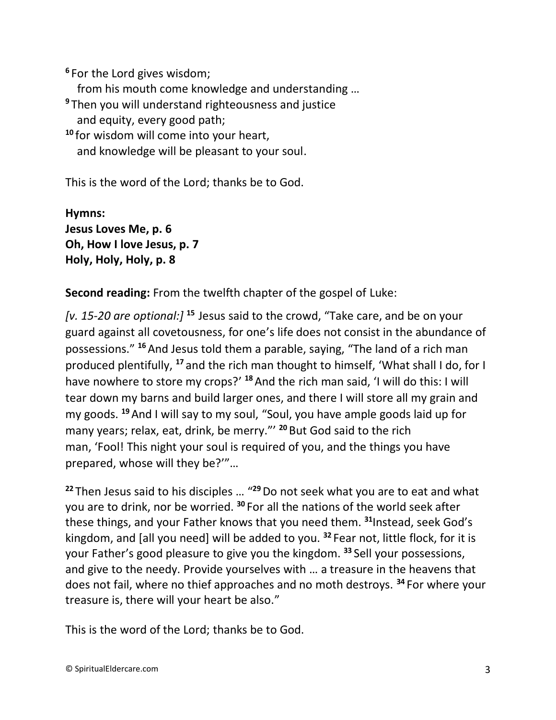**6** For the Lord gives wisdom; from his mouth come knowledge and understanding … **<sup>9</sup>** Then you will understand righteousness and justice and equity, every good path; **<sup>10</sup>** for wisdom will come into your heart, and knowledge will be pleasant to your soul.

This is the word of the Lord; thanks be to God.

**Hymns: Jesus Loves Me, p. 6 Oh, How I love Jesus, p. 7 Holy, Holy, Holy, p. 8**

**Second reading:** From the twelfth chapter of the gospel of Luke:

*[v. 15-20 are optional:]* **<sup>15</sup>** Jesus said to the crowd, "Take care, and be on your guard against all covetousness, for one's life does not consist in the abundance of possessions." **<sup>16</sup>**And Jesus told them a parable, saying, "The land of a rich man produced plentifully, **<sup>17</sup>** and the rich man thought to himself, 'What shall I do, for I have nowhere to store my crops?' **<sup>18</sup>**And the rich man said, 'I will do this: I will tear down my barns and build larger ones, and there I will store all my grain and my goods. **<sup>19</sup>**And I will say to my soul, "Soul, you have ample goods laid up for many years; relax, eat, drink, be merry."' **<sup>20</sup>** But God said to the rich man, 'Fool! This night your soul is required of you, and the things you have prepared, whose will they be?'"…

**<sup>22</sup>** Then Jesus said to his disciples … "**<sup>29</sup>**Do not seek what you are to eat and what you are to drink, nor be worried. **<sup>30</sup>** For all the nations of the world seek after these things, and your Father knows that you need them. **<sup>31</sup>**Instead, seek God's kingdom, and [all you need] will be added to you. **<sup>32</sup>** Fear not, little flock, for it is your Father's good pleasure to give you the kingdom. **<sup>33</sup>** Sell your possessions, and give to the needy. Provide yourselves with … a treasure in the heavens that does not fail, where no thief approaches and no moth destroys. **<sup>34</sup>** For where your treasure is, there will your heart be also."

This is the word of the Lord; thanks be to God.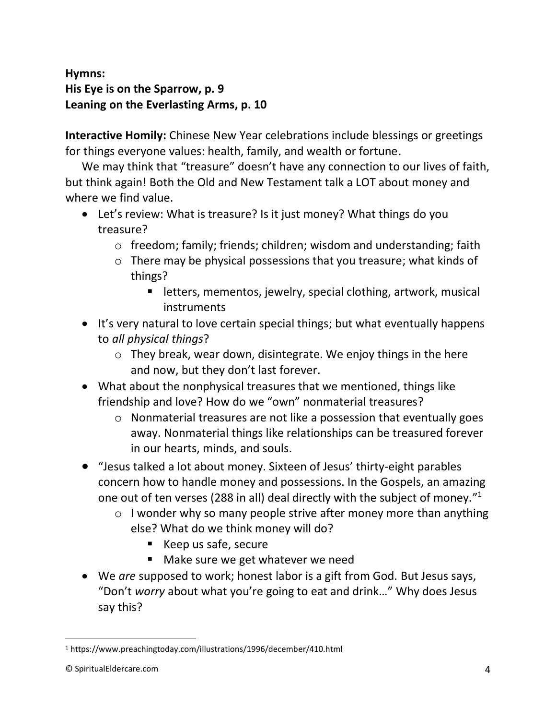# **Hymns: His Eye is on the Sparrow, p. 9 Leaning on the Everlasting Arms, p. 10**

**Interactive Homily:** Chinese New Year celebrations include blessings or greetings for things everyone values: health, family, and wealth or fortune.

We may think that "treasure" doesn't have any connection to our lives of faith, but think again! Both the Old and New Testament talk a LOT about money and where we find value.

- Let's review: What is treasure? Is it just money? What things do you treasure?
	- o freedom; family; friends; children; wisdom and understanding; faith
	- o There may be physical possessions that you treasure; what kinds of things?
		- letters, mementos, jewelry, special clothing, artwork, musical instruments
- It's very natural to love certain special things; but what eventually happens to *all physical things*?
	- o They break, wear down, disintegrate. We enjoy things in the here and now, but they don't last forever.
- What about the nonphysical treasures that we mentioned, things like friendship and love? How do we "own" nonmaterial treasures?
	- o Nonmaterial treasures are not like a possession that eventually goes away. Nonmaterial things like relationships can be treasured forever in our hearts, minds, and souls.
- "Jesus talked a lot about money. Sixteen of Jesus' thirty-eight parables concern how to handle money and possessions. In the Gospels, an amazing one out of ten verses (288 in all) deal directly with the subject of money."<sup>1</sup>
	- $\circ$  I wonder why so many people strive after money more than anything else? What do we think money will do?
		- Keep us safe, secure
		- Make sure we get whatever we need
- We *are* supposed to work; honest labor is a gift from God. But Jesus says, "Don't *worry* about what you're going to eat and drink…" Why does Jesus say this?

<sup>1</sup> https://www.preachingtoday.com/illustrations/1996/december/410.html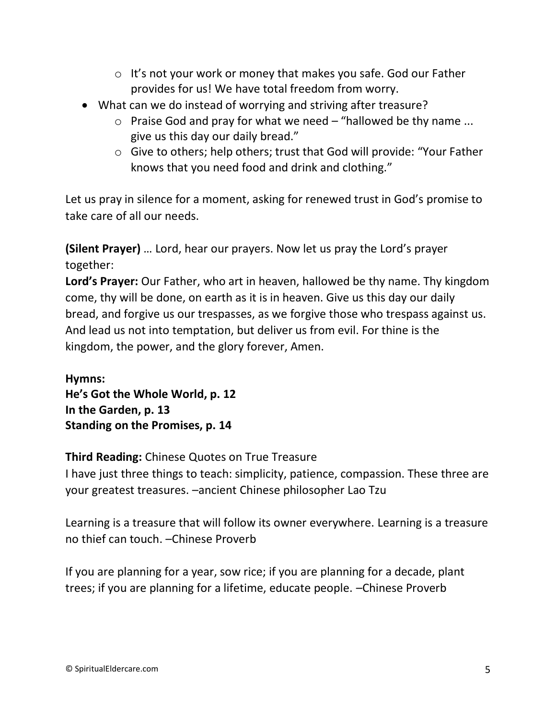- o It's not your work or money that makes you safe. God our Father provides for us! We have total freedom from worry.
- What can we do instead of worrying and striving after treasure?
	- $\circ$  Praise God and pray for what we need "hallowed be thy name ... give us this day our daily bread."
	- o Give to others; help others; trust that God will provide: "Your Father knows that you need food and drink and clothing."

Let us pray in silence for a moment, asking for renewed trust in God's promise to take care of all our needs.

**(Silent Prayer)** … Lord, hear our prayers. Now let us pray the Lord's prayer together:

**Lord's Prayer:** Our Father, who art in heaven, hallowed be thy name. Thy kingdom come, thy will be done, on earth as it is in heaven. Give us this day our daily bread, and forgive us our trespasses, as we forgive those who trespass against us. And lead us not into temptation, but deliver us from evil. For thine is the kingdom, the power, and the glory forever, Amen.

**Hymns: He's Got the Whole World, p. 12 In the Garden, p. 13 Standing on the Promises, p. 14**

## **Third Reading:** Chinese Quotes on True Treasure

I have just three things to teach: simplicity, patience, compassion. These three are your greatest treasures. –ancient Chinese philosopher Lao Tzu

Learning is a treasure that will follow its owner everywhere. Learning is a treasure no thief can touch. –Chinese Proverb

If you are planning for a year, sow rice; if you are planning for a decade, plant trees; if you are planning for a lifetime, educate people. –Chinese Proverb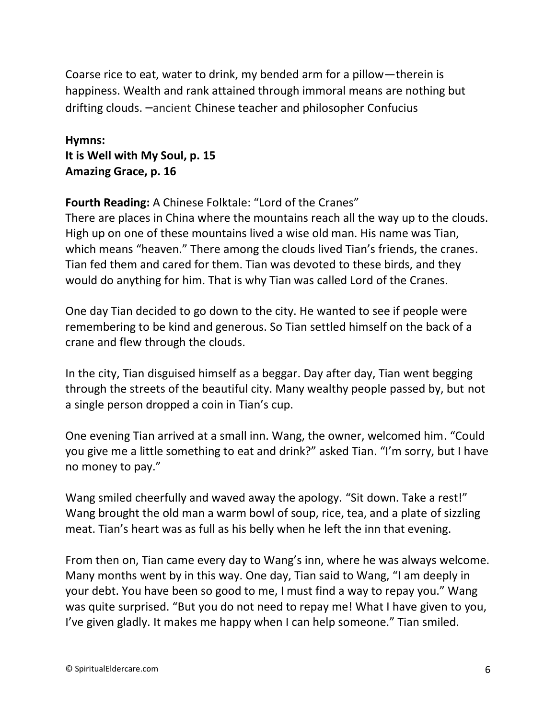Coarse rice to eat, water to drink, my bended arm for a pillow—therein is happiness. Wealth and rank attained through immoral means are nothing but drifting clouds. –ancient Chinese teacher and philosopher Confucius

**Hymns: It is Well with My Soul, p. 15 Amazing Grace, p. 16**

**Fourth Reading:** A Chinese Folktale: "Lord of the Cranes"

There are places in China where the mountains reach all the way up to the clouds. High up on one of these mountains lived a wise old man. His name was Tian, which means "heaven." There among the clouds lived Tian's friends, the cranes. Tian fed them and cared for them. Tian was devoted to these birds, and they would do anything for him. That is why Tian was called Lord of the Cranes.

One day Tian decided to go down to the city. He wanted to see if people were remembering to be kind and generous. So Tian settled himself on the back of a crane and flew through the clouds.

In the city, Tian disguised himself as a beggar. Day after day, Tian went begging through the streets of the beautiful city. Many wealthy people passed by, but not a single person dropped a coin in Tian's cup.

One evening Tian arrived at a small inn. Wang, the owner, welcomed him. "Could you give me a little something to eat and drink?" asked Tian. "I'm sorry, but I have no money to pay."

Wang smiled cheerfully and waved away the apology. "Sit down. Take a rest!" Wang brought the old man a warm bowl of soup, rice, tea, and a plate of sizzling meat. Tian's heart was as full as his belly when he left the inn that evening.

From then on, Tian came every day to Wang's inn, where he was always welcome. Many months went by in this way. One day, Tian said to Wang, "I am deeply in your debt. You have been so good to me, I must find a way to repay you." Wang was quite surprised. "But you do not need to repay me! What I have given to you, I've given gladly. It makes me happy when I can help someone." Tian smiled.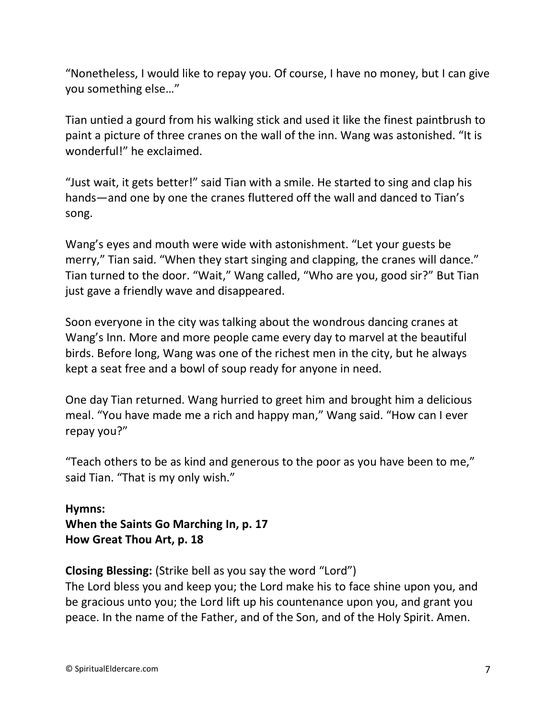"Nonetheless, I would like to repay you. Of course, I have no money, but I can give you something else…"

Tian untied a gourd from his walking stick and used it like the finest paintbrush to paint a picture of three cranes on the wall of the inn. Wang was astonished. "It is wonderful!" he exclaimed.

"Just wait, it gets better!" said Tian with a smile. He started to sing and clap his hands—and one by one the cranes fluttered off the wall and danced to Tian's song.

Wang's eyes and mouth were wide with astonishment. "Let your guests be merry," Tian said. "When they start singing and clapping, the cranes will dance." Tian turned to the door. "Wait," Wang called, "Who are you, good sir?" But Tian just gave a friendly wave and disappeared.

Soon everyone in the city was talking about the wondrous dancing cranes at Wang's Inn. More and more people came every day to marvel at the beautiful birds. Before long, Wang was one of the richest men in the city, but he always kept a seat free and a bowl of soup ready for anyone in need.

One day Tian returned. Wang hurried to greet him and brought him a delicious meal. "You have made me a rich and happy man," Wang said. "How can I ever repay you?"

"Teach others to be as kind and generous to the poor as you have been to me," said Tian. "That is my only wish."

**Hymns: When the Saints Go Marching In, p. 17 How Great Thou Art, p. 18**

**Closing Blessing:** (Strike bell as you say the word "Lord")

The Lord bless you and keep you; the Lord make his to face shine upon you, and be gracious unto you; the Lord lift up his countenance upon you, and grant you peace. In the name of the Father, and of the Son, and of the Holy Spirit. Amen.